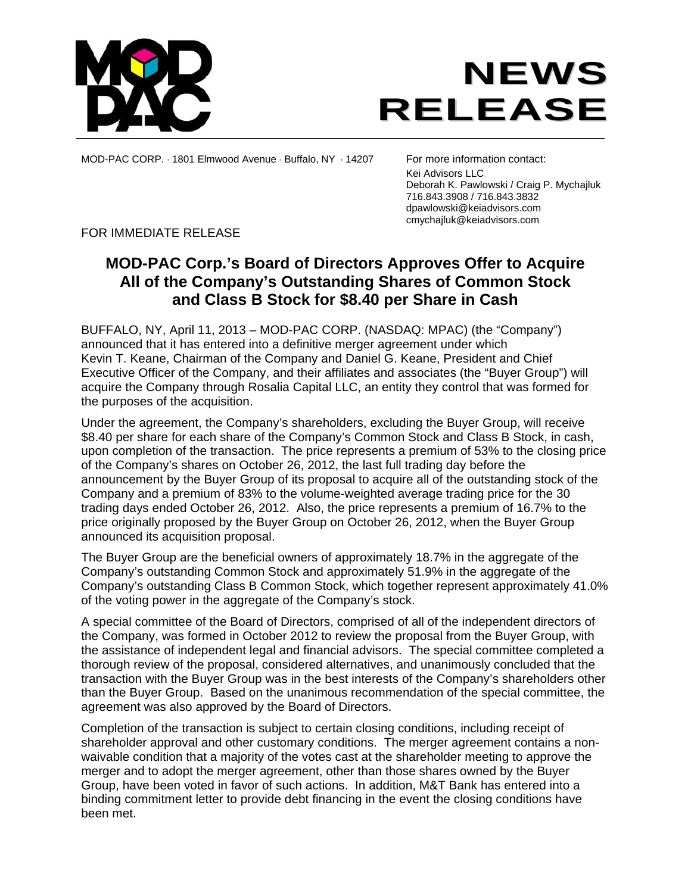



MOD-PAC CORP. ⋅ 1801 Elmwood Avenue ⋅ Buffalo, NY ⋅ 14207 For more information contact:

 Kei Advisors LLC Deborah K. Pawlowski / Craig P. Mychajluk 716.843.3908 / 716.843.3832 dpawlowski@keiadvisors.com cmychajluk@keiadvisors.com

FOR IMMEDIATE RELEASE

# **MOD-PAC Corp.'s Board of Directors Approves Offer to Acquire All of the Company's Outstanding Shares of Common Stock and Class B Stock for \$8.40 per Share in Cash**

BUFFALO, NY, April 11, 2013 – MOD-PAC CORP. (NASDAQ: MPAC) (the "Company") announced that it has entered into a definitive merger agreement under which Kevin T. Keane, Chairman of the Company and Daniel G. Keane, President and Chief Executive Officer of the Company, and their affiliates and associates (the "Buyer Group") will acquire the Company through Rosalia Capital LLC, an entity they control that was formed for the purposes of the acquisition.

Under the agreement, the Company's shareholders, excluding the Buyer Group, will receive \$8.40 per share for each share of the Company's Common Stock and Class B Stock, in cash, upon completion of the transaction. The price represents a premium of 53% to the closing price of the Company's shares on October 26, 2012, the last full trading day before the announcement by the Buyer Group of its proposal to acquire all of the outstanding stock of the Company and a premium of 83% to the volume-weighted average trading price for the 30 trading days ended October 26, 2012. Also, the price represents a premium of 16.7% to the price originally proposed by the Buyer Group on October 26, 2012, when the Buyer Group announced its acquisition proposal.

The Buyer Group are the beneficial owners of approximately 18.7% in the aggregate of the Company's outstanding Common Stock and approximately 51.9% in the aggregate of the Company's outstanding Class B Common Stock, which together represent approximately 41.0% of the voting power in the aggregate of the Company's stock.

A special committee of the Board of Directors, comprised of all of the independent directors of the Company, was formed in October 2012 to review the proposal from the Buyer Group, with the assistance of independent legal and financial advisors. The special committee completed a thorough review of the proposal, considered alternatives, and unanimously concluded that the transaction with the Buyer Group was in the best interests of the Company's shareholders other than the Buyer Group. Based on the unanimous recommendation of the special committee, the agreement was also approved by the Board of Directors.

Completion of the transaction is subject to certain closing conditions, including receipt of shareholder approval and other customary conditions. The merger agreement contains a nonwaivable condition that a majority of the votes cast at the shareholder meeting to approve the merger and to adopt the merger agreement, other than those shares owned by the Buyer Group, have been voted in favor of such actions. In addition, M&T Bank has entered into a binding commitment letter to provide debt financing in the event the closing conditions have been met.